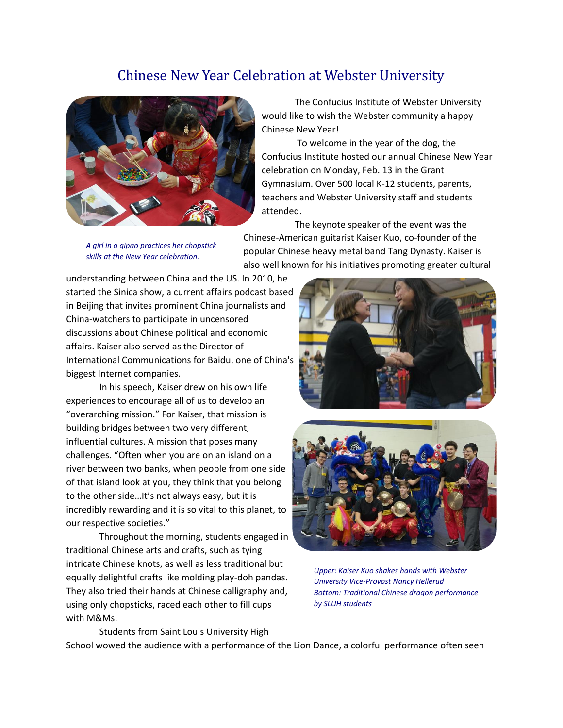## Chinese New Year Celebration at Webster University



The Confucius Institute of Webster University would like to wish the Webster community a happy Chinese New Year!

To welcome in the year of the dog, the Confucius Institute hosted our annual Chinese New Year celebration on Monday, Feb. 13 in the Grant Gymnasium. Over 500 local K-12 students, parents, teachers and Webster University staff and students attended.

*A girl in a qipao practices her chopstick skills at the New Year celebration.*

The keynote speaker of the event was the Chinese-American guitarist Kaiser Kuo, co-founder of the popular Chinese heavy metal band Tang Dynasty. Kaiser is also well known for his initiatives promoting greater cultural

understanding between China and the US. In 2010, he started the Sinica show, a current affairs podcast based in Beijing that invites prominent China journalists and China-watchers to participate in uncensored discussions about Chinese political and economic affairs. Kaiser also served as the Director of International Communications for Baidu, one of China's biggest Internet companies.

In his speech, Kaiser drew on his own life experiences to encourage all of us to develop an "overarching mission." For Kaiser, that mission is building bridges between two very different, influential cultures. A mission that poses many challenges. "Often when you are on an island on a river between two banks, when people from one side of that island look at you, they think that you belong to the other side…It's not always easy, but it is incredibly rewarding and it is so vital to this planet, to our respective societies."

Throughout the morning, students engaged in traditional Chinese arts and crafts, such as tying intricate Chinese knots, as well as less traditional but equally delightful crafts like molding play-doh pandas. They also tried their hands at Chinese calligraphy and, using only chopsticks, raced each other to fill cups with M&Ms.





*Upper: Kaiser Kuo shakes hands with Webster University Vice-Provost Nancy Hellerud Bottom: Traditional Chinese dragon performance by SLUH students*

Students from Saint Louis University High School wowed the audience with a performance of the Lion Dance, a colorful performance often seen